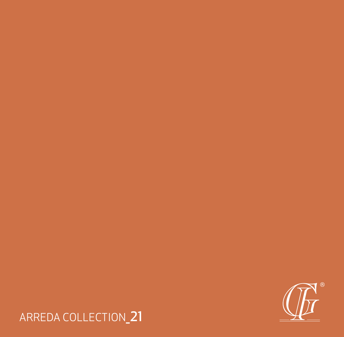

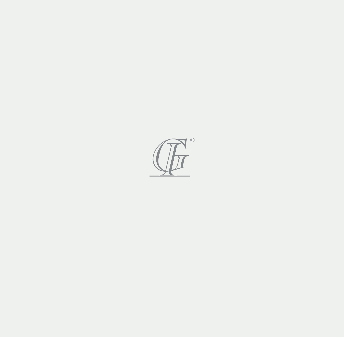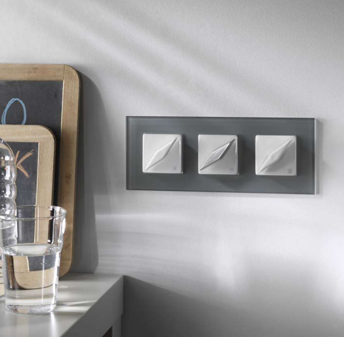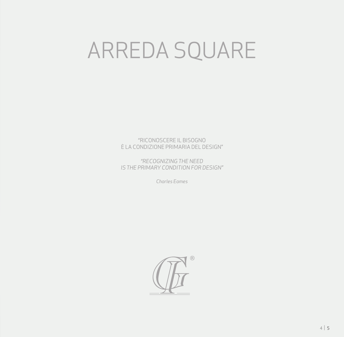"RICONOSCERE IL BISOGNO È LA CONDIZIONE PRIMARIA DEL DESIGN"

"RECOGNIZING THE NEED IS THE PRIMARY CONDITION FOR DESIGN"

Charles Eames

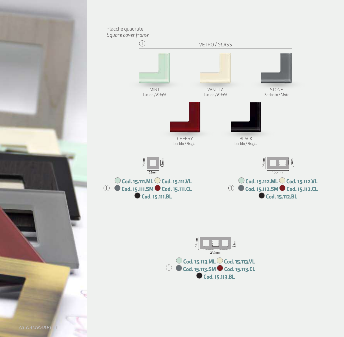



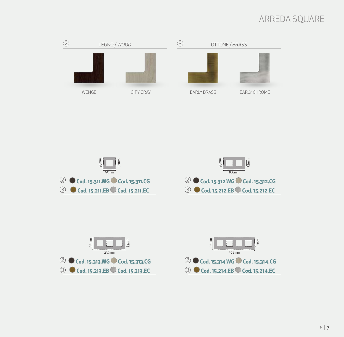







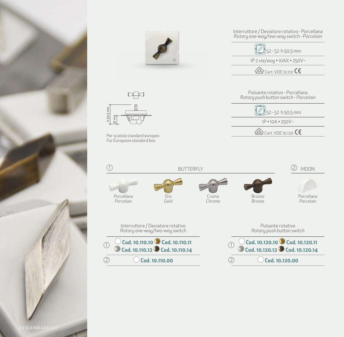



20 mm h 50,5 mm

Per scatola standard europeo *For European standard box*

Interruttore / Deviatore rotativo - Porcellana *Rotary one-way/two-way switch - Porcelain*



Pulsante rotativo - Porcellana *Rotary push button switch - Porcelain*



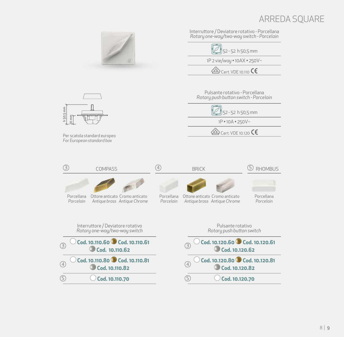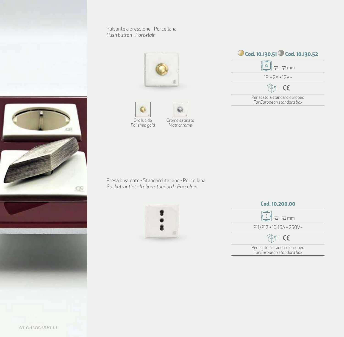Pulsante a pressione - Porcellana *Push button - Porcelain*







| Cod. 10.130.51 Cod. 10.130.52                             |
|-----------------------------------------------------------|
| $\frac{1}{2}$ 0 $\frac{1}{2}$ 52 - 52 mm                  |
| $1P \cdot 7A \cdot 17V -$                                 |
| 91C                                                       |
| Per scatola standard europeo<br>For European standard box |
|                                                           |





Presa bivalente - Standard italiano - Porcellana *Socket-outlet - Italian standard - Porcelain*



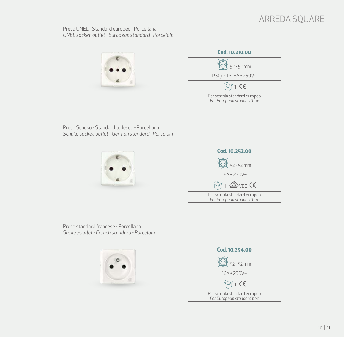Presa UNEL - Standard europeo - Porcellana *UNEL socket-outlet - European standard - Porcelain*



Presa Schuko - Standard tedesco - Porcellana *Schuko socket-outlet - German standard - Porcelain*





Presa standard francese - Porcellana *Socket-outlet - French standard - Porcelain*

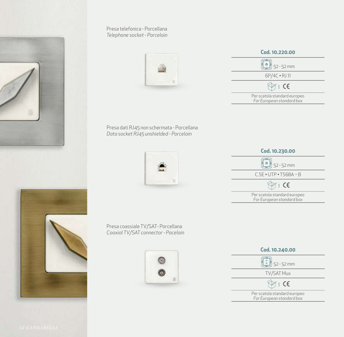



Presa telefonica - Porcellana *Telephone socket - Porcelain*





Presa dati RJ45 non schermata - Porcellana *Data socket RJ45 unshielded - Porcelain*



Presa coassiale TV/SAT- Porcellana *Coaxial TV/SAT connector - Pocelain*





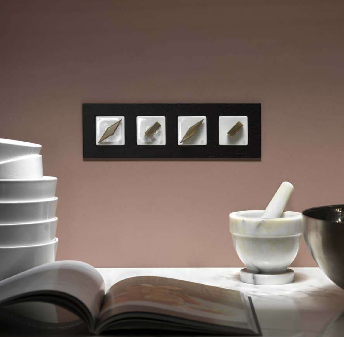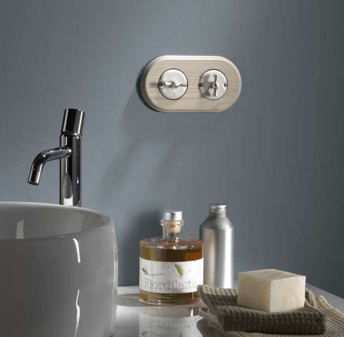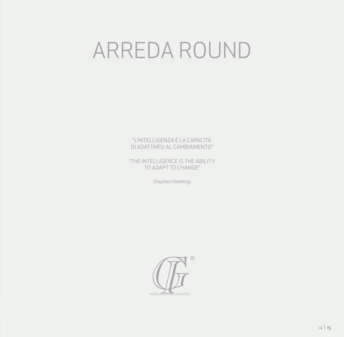# ARREDA ROUND

"L'INTELLIGENZA È LA CAPACITÀ DI ADATTARSI AL CAMBIAMENTO"

*"THE INTELLIGENCE IS THE ABILITY TO ADAPT TO CHANGE"*

*Stephen Hawking*

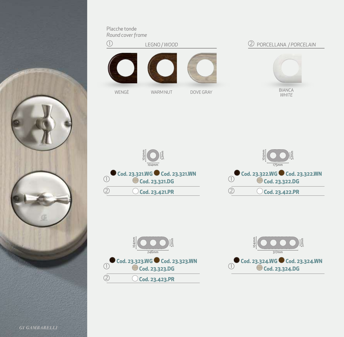

Placche tonde *Round cover frame*













![](_page_15_Figure_8.jpeg)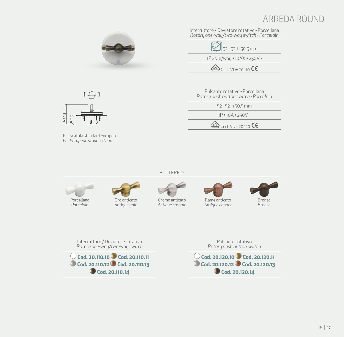## ARREDA ROUND

![](_page_16_Picture_1.jpeg)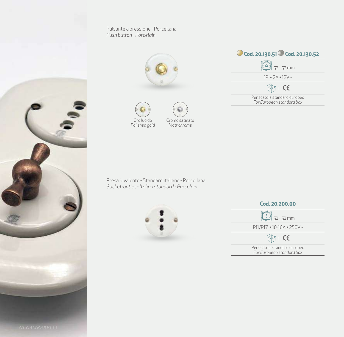![](_page_17_Picture_0.jpeg)

Pulsante a pressione - Porcellana *Push button - Porcelain*

![](_page_17_Picture_2.jpeg)

![](_page_17_Picture_3.jpeg)

![](_page_17_Picture_4.jpeg)

| Cod. 20.130.51 Cod. 20.130.52                             |
|-----------------------------------------------------------|
| $\frac{1}{3}$ 52 - 52 mm                                  |
| $1P \cdot 2A \cdot 12V -$                                 |
| $1$ CE                                                    |
| Per scatola standard europeo<br>For European standard box |
|                                                           |

Presa bivalente - Standard italiano - Porcellana *Socket-outlet - Italian standard - Porcelain*

![](_page_17_Picture_7.jpeg)

![](_page_17_Picture_8.jpeg)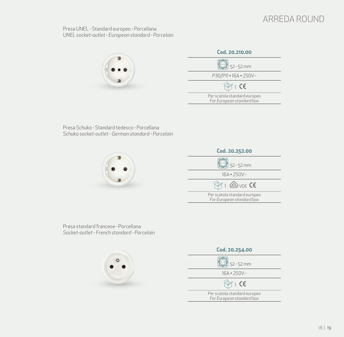## ARREDA ROUND

Presa UNEL - Standard europeo - Porcellana *UNEL socket-outlet - European standard - Porcelain*

![](_page_18_Figure_2.jpeg)

Presa Schuko - Standard tedesco - Porcellana *Schuko socket-outlet - German standard - Porcelain*

![](_page_18_Figure_4.jpeg)

![](_page_18_Figure_5.jpeg)

Presa standard francese - Porcellana *Socket-outlet - French standard - Porcelain*

![](_page_18_Figure_7.jpeg)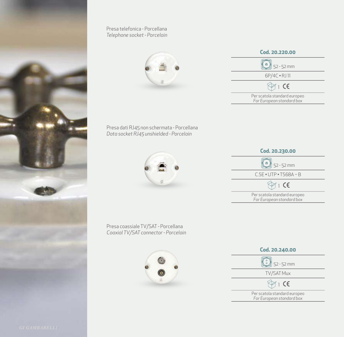![](_page_19_Picture_0.jpeg)

Presa telefonica - Porcellana *Telephone socket - Porcelain*

![](_page_19_Picture_2.jpeg)

Presa dati RJ45 non schermata - Porcellana *Data socket RJ45 unshielded - Porcelain*

![](_page_19_Picture_4.jpeg)

Presa coassiale TV/SAT - Porcellana *Coaxial TV/SAT connector - Porcelain*

![](_page_19_Picture_6.jpeg)

| Cod. 20.220.00                                            |
|-----------------------------------------------------------|
| <u>∦</u> 52 - 52 mm                                       |
| 6P/4C · RJ 11                                             |
| $1$ CE                                                    |
| Per scatola standard europeo<br>For European standard box |

![](_page_19_Figure_8.jpeg)

![](_page_19_Figure_9.jpeg)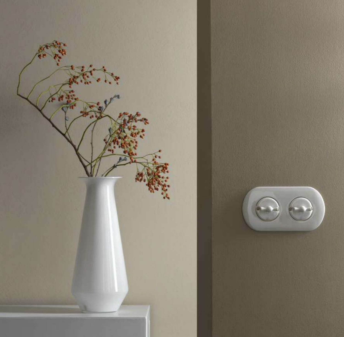![](_page_20_Picture_0.jpeg)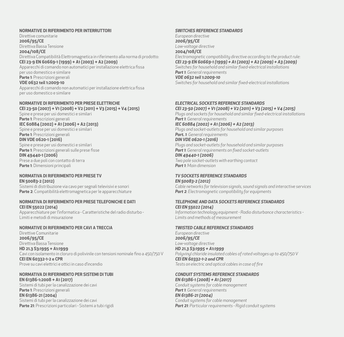#### **NORMATIVE DI RIFERIMENTO PER INTERRUTTORI**

Direttive comunitarie **2006/95/CE** Direttiva Bassa Tensione **2004/108/CE** Direttiva Compatibilità Elettromagnetica in riferimento alla norma di prodotto: **CEI 23-9 EN 60669-1 (1999) + A1 (2003) + A2 (2009)**

Apparecchi di comando non automatici per installazione elettrica fissa per uso domestico e similare **Parte 1**: Prescrizioni generali

### **VDE 0632 teil 1:2009-10**

Apparecchi di comando non automatici per installazione elettrica fissa per uso domestico e similare

#### **NORMATIVE DI RIFERIMENTO PER PRESE ELETTRICHE CEI 23-50 (2007) + V1 (2008) + V2 (2011) + V3 (2015) + V4 (2015)**

Spine e prese per usi domestici e similari **Parte 1**: Prescrizioni generali

#### **IEC 60884 (2002) + A1 (2006) + A2 (2013)**

Spine e prese per usi domestici e similari **Parte 1**: Prescrizioni generali

#### **DIN VDE 0620-1 (2016)**

Spine e prese per usi domestici e similari **Parte 1**: Prescrizioni generali sulle prese fisse **DIN 49440-1 (2006)**

Prese a due poli con contatto di terra **Parte 1**: Dimensioni principali

#### **NORMATIVA DI RIFERIMENTO PER PRESE TV EN 50083-2 (2012)**

Sistemi di distribuzione via cavo per segnali televisivi e sonori **Parte 2**: Compatibilità elettromagnetica per le apparecchiature

#### **NORMATIVA DI RIFERIMENTO PER PRESE TELEFONICHE E DATI CEI EN 55022 (2014)**

Apparecchiature per l'informatica - Caratteristiche del radio disturbo - Limiti e metodi di misurazione

#### **NORMATIVE DI RIFERIMENTO PER CAVI A TRECCIA**

Direttive Comunitarie **2006/95/CE** Direttiva Bassa Tensione **HD 21.3 S3:1995 + A1:1999** Cavi con isolamento in cloruro di polivinile con tensioni nominale fino a 450/750 V **CEI EN 60332-1-2 e CPR** Prove su cavi elettrici e ottici in caso d'incendio

#### **NORMATIVA DI RIFERIMENTO PER SISTEMI DI TUBI EN 61386-1:2008 + A1 (2017)**

Sistemi di tubi per la canalizzazione dei cavi **Parte 1**: Prescrizioni generali **EN 61386-21 (2004)** Sistemi di tubi per la canalizzazione dei cavi **Parte 21**: Prescrizioni particolari - Sistemi a tubi rigidi

#### *SWITCHES REFERENCE STANDARDS*

*European directive 2006/95/CE Low-voltage directive*

#### **2004/108/CE**

*Electromagnetic compatibility directive according to the product rule: CEI 23-9 EN 60669-1 (1999) + A1 (2003) + A2 (2009) + A3 (2009) Switches for household and similar fixed-electrical installations Part 1: General requirements VDE 0632 teil 1:2009-10*

*Switches for household and similar fixed-electrical installations*

#### *ELECTRICAL SOCKETS REFERENCE STANDARDS*

*CEI 23-50 (2007) + V1 (2008) + V2 (2011) + V3 (2015) + V4 (2015) Plugs and sockets for household and similar fixed-electrical installations Part 1: General requirements IEC 60884 (2002) + A1 (2006) + A2 (2013) Plugs and socket-outlets for household and similar purposes Part. 1: General requirements DIN VDE 0620-1 (2016) Plugs and socket-outlets for household and similar purposes*

*Part 1: General requirements on fixed socket-outlets*

*DIN 49440-1 (2006) Two pole socket-outlets with earthing contact Part 1: Main dimension*

## *TV SOCKETS REFERENCE STANDARDS*

*EN 50083-2 (2012) Cable networks for television signals, sound signals and interactive services Part 2: Electromagnetic compatibility for equipments*

#### *TELEPHONE AND DATA SOCKETS REFERENCE STANDARDS CEI EN 55022 (2014)*

*Information technology equipment - Radio disturbance characteristics - Limits and methods of measurement*

#### *TWISTED CABLE REFERENCE STANDARDS*

*European directive 2006/95/CE Low-voltage directive HD 21.3 S3:1995 + A1:1999 Polyvinyl chloride insulated cables of rated voltages up to 450/750 V CEI EN 60332-1-2 and CPR Tests on electric and optical cables in case of fire*

### *CONDUIT SYSTEMS REFERENCE STANDARDS*

*EN 61386-1 (2008) + A1 (2017) Conduit systems for cable management Part 1: General requirements EN 61386-21 (2004) Conduit systems for cable management Part 21: Particular requirements - Rigid conduit systems*